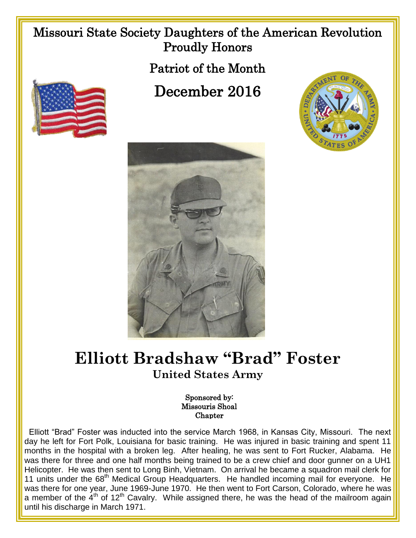## Missouri State Society Daughters of the American Revolution Proudly Honors

Patriot of the Month

## December 2016







## **Elliott Bradshaw "Brad" Foster United States Army**

## Sponsored by: Missouris Shoal **Chapter**

 Elliott "Brad" Foster was inducted into the service March 1968, in Kansas City, Missouri. The next day he left for Fort Polk, Louisiana for basic training. He was injured in basic training and spent 11 months in the hospital with a broken leg. After healing, he was sent to Fort Rucker, Alabama. He was there for three and one half months being trained to be a crew chief and door gunner on a UH1 Helicopter. He was then sent to Long Binh, Vietnam. On arrival he became a squadron mail clerk for 11 units under the 68<sup>th</sup> Medical Group Headquarters. He handled incoming mail for everyone. He was there for one year, June 1969-June 1970. He then went to Fort Carson, Colorado, where he was a member of the  $4<sup>th</sup>$  of 12<sup>th</sup> Cavalry. While assigned there, he was the head of the mailroom again until his discharge in March 1971.